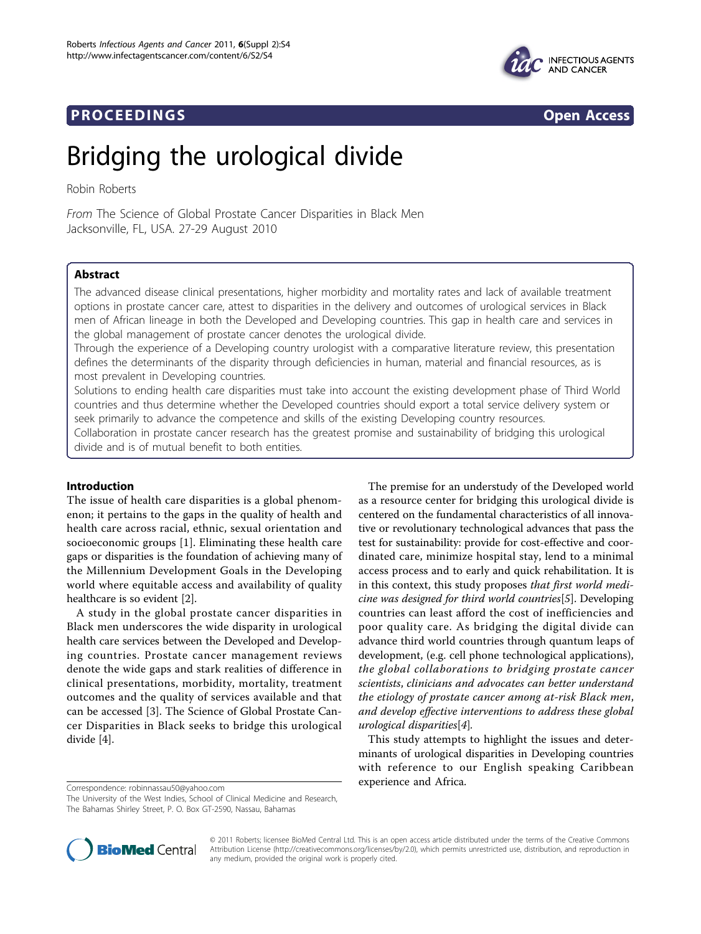# **PROCEEDINGS CONSIDERING S** Open Access



# Bridging the urological divide

Robin Roberts

From The Science of Global Prostate Cancer Disparities in Black Men Jacksonville, FL, USA. 27-29 August 2010

# Abstract

The advanced disease clinical presentations, higher morbidity and mortality rates and lack of available treatment options in prostate cancer care, attest to disparities in the delivery and outcomes of urological services in Black men of African lineage in both the Developed and Developing countries. This gap in health care and services in the global management of prostate cancer denotes the urological divide.

Through the experience of a Developing country urologist with a comparative literature review, this presentation defines the determinants of the disparity through deficiencies in human, material and financial resources, as is most prevalent in Developing countries.

Solutions to ending health care disparities must take into account the existing development phase of Third World countries and thus determine whether the Developed countries should export a total service delivery system or seek primarily to advance the competence and skills of the existing Developing country resources.

Collaboration in prostate cancer research has the greatest promise and sustainability of bridging this urological divide and is of mutual benefit to both entities.

# Introduction

The issue of health care disparities is a global phenomenon; it pertains to the gaps in the quality of health and health care across racial, ethnic, sexual orientation and socioeconomic groups [[1\]](#page-2-0). Eliminating these health care gaps or disparities is the foundation of achieving many of the Millennium Development Goals in the Developing world where equitable access and availability of quality healthcare is so evident [\[2](#page-2-0)].

A study in the global prostate cancer disparities in Black men underscores the wide disparity in urological health care services between the Developed and Developing countries. Prostate cancer management reviews denote the wide gaps and stark realities of difference in clinical presentations, morbidity, mortality, treatment outcomes and the quality of services available and that can be accessed [\[3](#page-2-0)]. The Science of Global Prostate Cancer Disparities in Black seeks to bridge this urological divide [[4\]](#page-3-0).

The premise for an understudy of the Developed world as a resource center for bridging this urological divide is centered on the fundamental characteristics of all innovative or revolutionary technological advances that pass the test for sustainability: provide for cost-effective and coordinated care, minimize hospital stay, lend to a minimal access process and to early and quick rehabilitation. It is in this context, this study proposes that first world medicine was designed for third world countries[[5](#page-3-0)]. Developing countries can least afford the cost of inefficiencies and poor quality care. As bridging the digital divide can advance third world countries through quantum leaps of development, (e.g. cell phone technological applications), the global collaborations to bridging prostate cancer scientists, clinicians and advocates can better understand the etiology of prostate cancer among at-risk Black men, and develop effective interventions to address these global urological disparities[[4](#page-3-0)].

This study attempts to highlight the issues and determinants of urological disparities in Developing countries with reference to our English speaking Caribbean experience and Africa. Correspondence: [robinnassau50@yahoo.com](mailto:robinnassau50@yahoo.com)

The University of the West Indies, School of Clinical Medicine and Research, The Bahamas Shirley Street, P. O. Box GT-2590, Nassau, Bahamas



© 2011 Roberts; licensee BioMed Central Ltd. This is an open access article distributed under the terms of the Creative Commons Attribution License [\(http://creativecommons.org/licenses/by/2.0](http://creativecommons.org/licenses/by/2.0)), which permits unrestricted use, distribution, and reproduction in any medium, provided the original work is properly cited.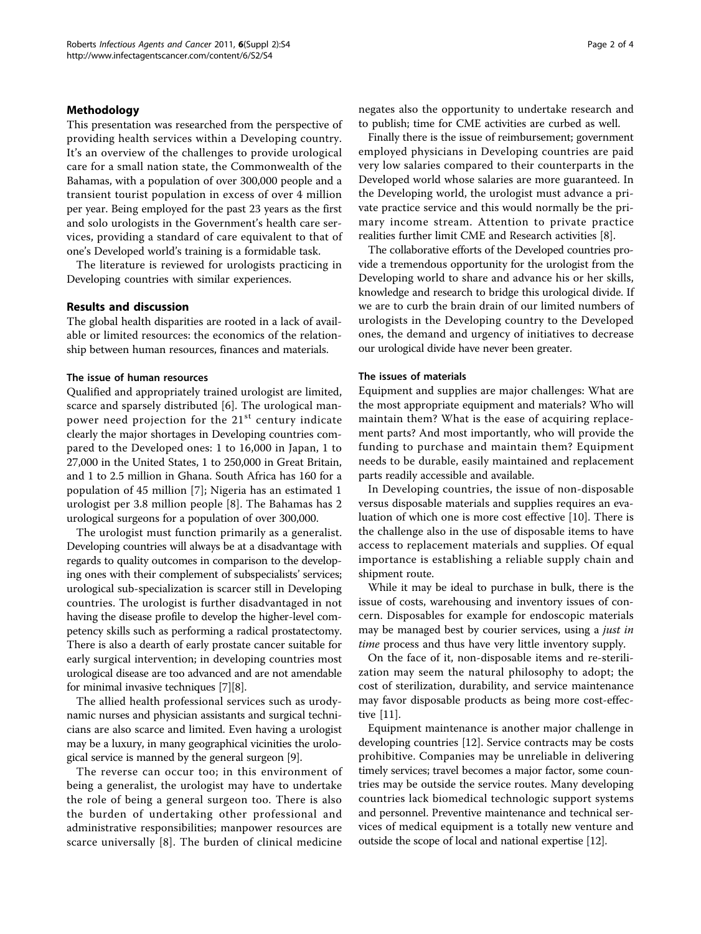# Methodology

This presentation was researched from the perspective of providing health services within a Developing country. It's an overview of the challenges to provide urological care for a small nation state, the Commonwealth of the Bahamas, with a population of over 300,000 people and a transient tourist population in excess of over 4 million per year. Being employed for the past 23 years as the first and solo urologists in the Government's health care services, providing a standard of care equivalent to that of one's Developed world's training is a formidable task.

The literature is reviewed for urologists practicing in Developing countries with similar experiences.

# Results and discussion

The global health disparities are rooted in a lack of available or limited resources: the economics of the relationship between human resources, finances and materials.

#### The issue of human resources

Qualified and appropriately trained urologist are limited, scarce and sparsely distributed [\[6](#page-3-0)]. The urological manpower need projection for the  $21<sup>st</sup>$  century indicate clearly the major shortages in Developing countries compared to the Developed ones: 1 to 16,000 in Japan, 1 to 27,000 in the United States, 1 to 250,000 in Great Britain, and 1 to 2.5 million in Ghana. South Africa has 160 for a population of 45 million [\[7](#page-3-0)]; Nigeria has an estimated 1 urologist per 3.8 million people [[8\]](#page-3-0). The Bahamas has 2 urological surgeons for a population of over 300,000.

The urologist must function primarily as a generalist. Developing countries will always be at a disadvantage with regards to quality outcomes in comparison to the developing ones with their complement of subspecialists' services; urological sub-specialization is scarcer still in Developing countries. The urologist is further disadvantaged in not having the disease profile to develop the higher-level competency skills such as performing a radical prostatectomy. There is also a dearth of early prostate cancer suitable for early surgical intervention; in developing countries most urological disease are too advanced and are not amendable for minimal invasive techniques [[7\]](#page-3-0)[[8\]](#page-3-0).

The allied health professional services such as urodynamic nurses and physician assistants and surgical technicians are also scarce and limited. Even having a urologist may be a luxury, in many geographical vicinities the urological service is manned by the general surgeon [[9\]](#page-3-0).

The reverse can occur too; in this environment of being a generalist, the urologist may have to undertake the role of being a general surgeon too. There is also the burden of undertaking other professional and administrative responsibilities; manpower resources are scarce universally [[8\]](#page-3-0). The burden of clinical medicine negates also the opportunity to undertake research and to publish; time for CME activities are curbed as well.

Finally there is the issue of reimbursement; government employed physicians in Developing countries are paid very low salaries compared to their counterparts in the Developed world whose salaries are more guaranteed. In the Developing world, the urologist must advance a private practice service and this would normally be the primary income stream. Attention to private practice realities further limit CME and Research activities [\[8\]](#page-3-0).

The collaborative efforts of the Developed countries provide a tremendous opportunity for the urologist from the Developing world to share and advance his or her skills, knowledge and research to bridge this urological divide. If we are to curb the brain drain of our limited numbers of urologists in the Developing country to the Developed ones, the demand and urgency of initiatives to decrease our urological divide have never been greater.

### The issues of materials

Equipment and supplies are major challenges: What are the most appropriate equipment and materials? Who will maintain them? What is the ease of acquiring replacement parts? And most importantly, who will provide the funding to purchase and maintain them? Equipment needs to be durable, easily maintained and replacement parts readily accessible and available.

In Developing countries, the issue of non-disposable versus disposable materials and supplies requires an evaluation of which one is more cost effective [\[10](#page-3-0)]. There is the challenge also in the use of disposable items to have access to replacement materials and supplies. Of equal importance is establishing a reliable supply chain and shipment route.

While it may be ideal to purchase in bulk, there is the issue of costs, warehousing and inventory issues of concern. Disposables for example for endoscopic materials may be managed best by courier services, using a just in time process and thus have very little inventory supply.

On the face of it, non-disposable items and re-sterilization may seem the natural philosophy to adopt; the cost of sterilization, durability, and service maintenance may favor disposable products as being more cost-effective [[11](#page-3-0)].

Equipment maintenance is another major challenge in developing countries [[12\]](#page-3-0). Service contracts may be costs prohibitive. Companies may be unreliable in delivering timely services; travel becomes a major factor, some countries may be outside the service routes. Many developing countries lack biomedical technologic support systems and personnel. Preventive maintenance and technical services of medical equipment is a totally new venture and outside the scope of local and national expertise [\[12\]](#page-3-0).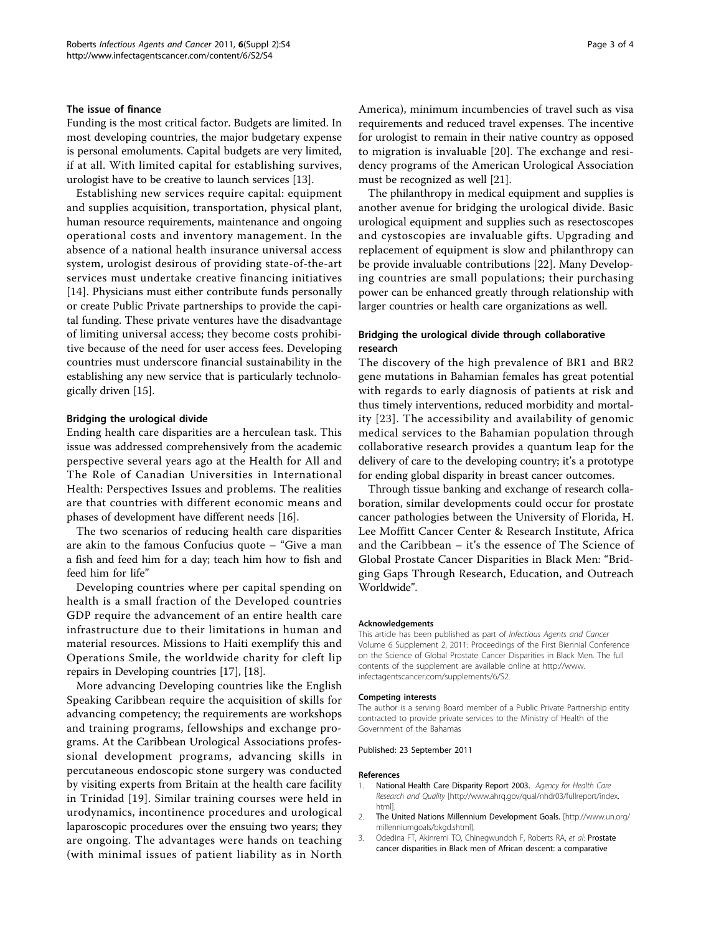#### <span id="page-2-0"></span>The issue of finance

Funding is the most critical factor. Budgets are limited. In most developing countries, the major budgetary expense is personal emoluments. Capital budgets are very limited, if at all. With limited capital for establishing survives, urologist have to be creative to launch services [[13\]](#page-3-0).

Establishing new services require capital: equipment and supplies acquisition, transportation, physical plant, human resource requirements, maintenance and ongoing operational costs and inventory management. In the absence of a national health insurance universal access system, urologist desirous of providing state-of-the-art services must undertake creative financing initiatives [[14](#page-3-0)]. Physicians must either contribute funds personally or create Public Private partnerships to provide the capital funding. These private ventures have the disadvantage of limiting universal access; they become costs prohibitive because of the need for user access fees. Developing countries must underscore financial sustainability in the establishing any new service that is particularly technologically driven [\[15](#page-3-0)].

#### Bridging the urological divide

Ending health care disparities are a herculean task. This issue was addressed comprehensively from the academic perspective several years ago at the Health for All and The Role of Canadian Universities in International Health: Perspectives Issues and problems. The realities are that countries with different economic means and phases of development have different needs [\[16\]](#page-3-0).

The two scenarios of reducing health care disparities are akin to the famous Confucius quote – "Give a man a fish and feed him for a day; teach him how to fish and feed him for life"

Developing countries where per capital spending on health is a small fraction of the Developed countries GDP require the advancement of an entire health care infrastructure due to their limitations in human and material resources. Missions to Haiti exemplify this and Operations Smile, the worldwide charity for cleft lip repairs in Developing countries [[17](#page-3-0)], [[18](#page-3-0)].

More advancing Developing countries like the English Speaking Caribbean require the acquisition of skills for advancing competency; the requirements are workshops and training programs, fellowships and exchange programs. At the Caribbean Urological Associations professional development programs, advancing skills in percutaneous endoscopic stone surgery was conducted by visiting experts from Britain at the health care facility in Trinidad [[19\]](#page-3-0). Similar training courses were held in urodynamics, incontinence procedures and urological laparoscopic procedures over the ensuing two years; they are ongoing. The advantages were hands on teaching (with minimal issues of patient liability as in North America), minimum incumbencies of travel such as visa requirements and reduced travel expenses. The incentive for urologist to remain in their native country as opposed to migration is invaluable [[20](#page-3-0)]. The exchange and residency programs of the American Urological Association must be recognized as well [[21](#page-3-0)].

The philanthropy in medical equipment and supplies is another avenue for bridging the urological divide. Basic urological equipment and supplies such as resectoscopes and cystoscopies are invaluable gifts. Upgrading and replacement of equipment is slow and philanthropy can be provide invaluable contributions [[22\]](#page-3-0). Many Developing countries are small populations; their purchasing power can be enhanced greatly through relationship with larger countries or health care organizations as well.

# Bridging the urological divide through collaborative research

The discovery of the high prevalence of BR1 and BR2 gene mutations in Bahamian females has great potential with regards to early diagnosis of patients at risk and thus timely interventions, reduced morbidity and mortality [[23](#page-3-0)]. The accessibility and availability of genomic medical services to the Bahamian population through collaborative research provides a quantum leap for the delivery of care to the developing country; it's a prototype for ending global disparity in breast cancer outcomes.

Through tissue banking and exchange of research collaboration, similar developments could occur for prostate cancer pathologies between the University of Florida, H. Lee Moffitt Cancer Center & Research Institute, Africa and the Caribbean – it's the essence of The Science of Global Prostate Cancer Disparities in Black Men: "Bridging Gaps Through Research, Education, and Outreach Worldwide".

#### Acknowledgements

This article has been published as part of Infectious Agents and Cancer Volume 6 Supplement 2, 2011: Proceedings of the First Biennial Conference on the Science of Global Prostate Cancer Disparities in Black Men. The full contents of the supplement are available online at [http://www.](http://www.infectagentscancer.com/supplements/6/S2) [infectagentscancer.com/supplements/6/S2](http://www.infectagentscancer.com/supplements/6/S2).

#### Competing interests

The author is a serving Board member of a Public Private Partnership entity contracted to provide private services to the Ministry of Health of the Government of the Bahamas

Published: 23 September 2011

#### References

- 1. National Health Care Disparity Report 2003. Agency for Health Care Research and Quality [\[http://www.ahrq.gov/qual/nhdr03/fullreport/index.](http://www.ahrq.gov/qual/nhdr03/fullreport/index.html) [html\]](http://www.ahrq.gov/qual/nhdr03/fullreport/index.html).
- 2. The United Nations Millennium Development Goals. [\[http://www.un.org/](http://www.un.org/millenniumgoals/bkgd.shtml) [millenniumgoals/bkgd.shtml](http://www.un.org/millenniumgoals/bkgd.shtml)].
- 3. Odedina FT, Akinremi TO, Chinegwundoh F, Roberts RA, et al: Prostate cancer disparities in Black men of African descent: a comparative